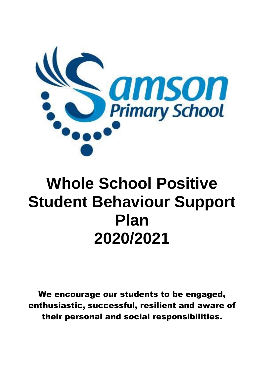

# **Whole School Positive Student Behaviour Support Plan 2020/2021**

We encourage our students to be engaged, enthusiastic, successful, resilient and aware of their personal and social responsibilities.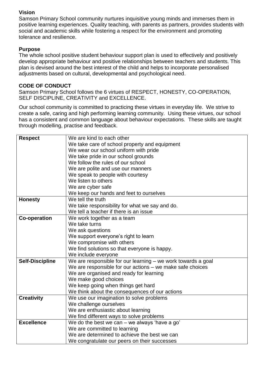## **Vision**

Samson Primary School community nurtures inquisitive young minds and immerses them in positive learning experiences. Quality teaching, with parents as partners, provides students with social and academic skills while fostering a respect for the environment and promoting tolerance and resilience.

# **Purpose**

The whole school positive student behaviour support plan is used to effectively and positively develop appropriate behaviour and positive relationships between teachers and students. This plan is devised around the best interest of the child and helps to incorporate personalised adjustments based on cultural, developmental and psychological need.

## **CODE OF CONDUCT**

Samson Primary School follows the 6 virtues of RESPECT, HONESTY, CO-OPERATION, SELF DISCIPLINE, CREATIVITY and EXCELLENCE.

Our school community is committed to practicing these virtues in everyday life. We strive to create a safe, caring and high performing learning community. Using these virtues, our school has a consistent and common language about behaviour expectations. These skills are taught through modelling, practise and feedback.

| <b>Respect</b>         | We are kind to each other                                    |  |
|------------------------|--------------------------------------------------------------|--|
|                        | We take care of school property and equipment                |  |
|                        | We wear our school uniform with pride                        |  |
|                        | We take pride in our school grounds                          |  |
|                        | We follow the rules of our school                            |  |
|                        | We are polite and use our manners                            |  |
|                        | We speak to people with courtesy                             |  |
|                        | We listen to others                                          |  |
|                        | We are cyber safe                                            |  |
|                        | We keep our hands and feet to ourselves                      |  |
| <b>Honesty</b>         | We tell the truth                                            |  |
|                        | We take responsibility for what we say and do.               |  |
|                        | We tell a teacher if there is an issue                       |  |
| <b>Co-operation</b>    | We work together as a team                                   |  |
|                        | We take turns                                                |  |
|                        | We ask questions                                             |  |
|                        | We support everyone's right to learn                         |  |
|                        | We compromise with others                                    |  |
|                        | We find solutions so that everyone is happy.                 |  |
|                        | We include everyone                                          |  |
| <b>Self-Discipline</b> | We are responsible for our learning - we work towards a goal |  |
|                        | We are responsible for our actions - we make safe choices    |  |
|                        | We are organised and ready for learning                      |  |
|                        | We make good choices                                         |  |
|                        | We keep going when things get hard                           |  |
|                        | We think about the consequences of our actions               |  |
| <b>Creativity</b>      | We use our imagination to solve problems                     |  |
|                        | We challenge ourselves                                       |  |
|                        | We are enthusiastic about learning                           |  |
|                        | We find different ways to solve problems                     |  |
| <b>Excellence</b>      | We do the best we can $-$ we always 'have a go'              |  |
|                        | We are committed to learning                                 |  |
|                        | We are determined to achieve the best we can                 |  |
|                        | We congratulate our peers on their successes                 |  |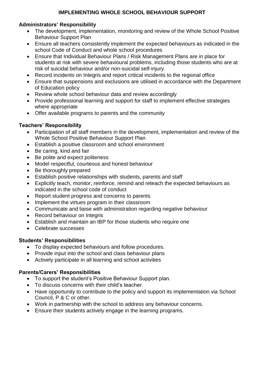## **IMPLEMENTING WHOLE SCHOOL BEHAVIOUR SUPPORT**

## **Administrators' Responsibility**

- The development, implementation, monitoring and review of the Whole School Positive Behaviour Support Plan
- Ensure all teachers consistently implement the expected behaviours as indicated in the school Code of Conduct and whole school procedures
- Ensure that Individual Behaviour Plans / Risk Management Plans are in place for students at risk with severe behavioural problems, including those students who are at risk of suicidal behaviour and/or non-suicidal self-injury.
- Record incidents on Integris and report critical incidents to the regional office
- Ensure that suspensions and exclusions are utilised in accordance with the Department of Education policy
- Review whole school behaviour data and review accordingly
- Provide professional learning and support for staff to implement effective strategies where appropriate
- Offer available programs to parents and the community

# **Teachers' Responsibility**

- Participation of all staff members in the development, implementation and review of the Whole School Positive Behaviour Support Plan
- Establish a positive classroom and school environment
- Be caring, kind and fair
- Be polite and expect politeness
- Model respectful, courteous and honest behaviour
- Be thoroughly prepared
- Establish positive relationships with students, parents and staff
- Explicitly teach, monitor, reinforce, remind and reteach the expected behaviours as indicated in the school code of conduct
- Report student progress and concerns to parents
- Implement the virtues program in their classroom
- Communicate and liaise with administration regarding negative behaviour
- Record behaviour on Integris
- Establish and maintain an IBP for those students who require one
- Celebrate successes

# **Students' Responsibilities**

- To display expected behaviours and follow procedures.
- Provide input into the school and class behaviour plans
- Actively participate in all learning and school activities

# **Parents/Carers' Responsibilities**

- To support the student's Positive Behaviour Support plan.
- To discuss concerns with their child's teacher.
- Have opportunity to contribute to the policy and support its implementation via School Council, P & C or other.
- Work in partnership with the school to address any behaviour concerns.
- Ensure their students actively engage in the learning programs.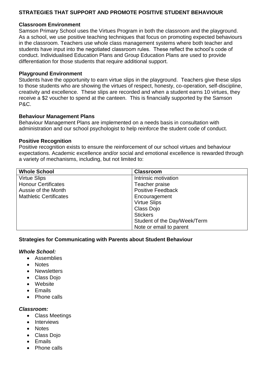## **STRATEGIES THAT SUPPORT AND PROMOTE POSITIVE STUDENT BEHAVIOUR**

#### **Classroom Environment**

Samson Primary School uses the Virtues Program in both the classroom and the playground. As a school, we use positive teaching techniques that focus on promoting expected behaviours in the classroom. Teachers use whole class management systems where both teacher and students have input into the negotiated classroom rules. These reflect the school's code of conduct. Individualised Education Plans and Group Education Plans are used to provide differentiation for those students that require additional support.

#### **Playground Environment**

Students have the opportunity to earn virtue slips in the playground. Teachers give these slips to those students who are showing the virtues of respect, honesty, co-operation, self-discipline, creativity and excellence. These slips are recorded and when a student earns 10 virtues, they receive a \$2 voucher to spend at the canteen. This is financially supported by the Samson P&C.

#### **Behaviour Management Plans**

Behaviour Management Plans are implemented on a needs basis in consultation with administration and our school psychologist to help reinforce the student code of conduct.

#### **Positive Recognition**

Positive recognition exists to ensure the reinforcement of our school virtues and behaviour expectations. Academic excellence and/or social and emotional excellence is rewarded through a variety of mechanisms, including, but not limited to:

| <b>Whole School</b>           | <b>Classroom</b>             |
|-------------------------------|------------------------------|
| <b>Virtue Slips</b>           | Intrinsic motivation         |
| <b>Honour Certificates</b>    | Teacher praise               |
| Aussie of the Month           | <b>Positive Feedback</b>     |
| <b>Mathletic Certificates</b> | Encouragement                |
|                               | <b>Virtue Slips</b>          |
|                               | Class Dojo                   |
|                               | <b>Stickers</b>              |
|                               | Student of the Day/Week/Term |
|                               | Note or email to parent      |

#### **Strategies for Communicating with Parents about Student Behaviour**

#### *Whole School:*

- Assemblies
- Notes
- **Newsletters**
- Class Dojo
- Website
- $\bullet$  Fmails
- Phone calls

#### *Classroom:*

- Class Meetings
- Interviews
- Notes
- Class Doio
- Emails
- Phone calls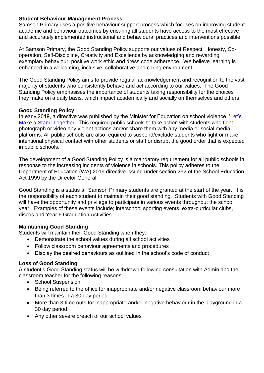#### **Student Behaviour Management Process**

Samson Primary uses a positive behaviour support process which focuses on improving student academic and behaviour outcomes by ensuring all students have access to the most effective and accurately implemented instructional and behavioural practices and interventions possible.

At Samson Primary, the Good Standing Policy supports our values of Respect, Honesty, Cooperation, Self-Discipline, Creativity and Excellence by acknowledging and rewarding exemplary behaviour, positive work ethic and dress code adherence. We believe learning is enhanced in a welcoming, inclusive, collaborative and caring environment.

The Good Standing Policy aims to provide regular acknowledgement and recognition to the vast majority of students who consistently behave and act according to our values. The Good Standing Policy emphasises the importance of students taking responsibility for the choices they make on a daily basis, which impact academically and socially on themselves and others.

#### **Good Standing Policy**

In early 2019, a directive was published by the Minister for Education on school violence, 'Let's [Make a Stand Together'](https://www.education.wa.edu.au/documents/43634987/0/Minister%27s+Statement+on+school+violence.pdf/a7c3915e-074f-e140-2cba-5c941910138e). This required public schools to take action with students who fight, photograph or video any violent actions and/or share them with any media or social media platforms. All public schools are also required to suspend/exclude students who fight or make intentional physical contact with other students or staff or disrupt the good order that is expected in public schools.

The development of a Good Standing Policy is a mandatory requirement for all public schools in response to the increasing incidents of violence in schools. This policy adheres to the Department of Education (WA) 2019 directive issued under section 232 of the School Education Act 1999 by the Director General.

Good Standing is a status all Samson Primary students are granted at the start of the year. It is the responsibility of each student to maintain their good standing. Students with Good Standing will have the opportunity and privilege to participate in various events throughout the school year. Examples of these events include; interschool sporting events, extra-curricular clubs, discos and Year 6 Graduation Activities.

## **Maintaining Good Standing**

Students will maintain their Good Standing when they:

- Demonstrate the school values during all school activities
- Follow classroom behaviour agreements and procedures
- Display the desired behaviours as outlined in the school's code of conduct

# **Loss of Good Standing**

A student's Good Standing status will be withdrawn following consultation with Admin and the classroom teacher for the following reasons;

- School Suspension
- Being referred to the office for inappropriate and/or negative classroom behaviour more than 3 times in a 30 day period
- More than 3 time outs for inappropriate and/or negative behaviour in the playground in a 30 day period
- Any other severe breach of our school values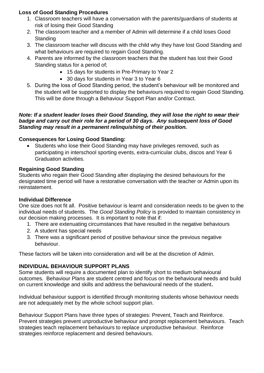## **Loss of Good Standing Procedures**

- 1. Classroom teachers will have a conversation with the parents/guardians of students at risk of losing their Good Standing
- 2. The classroom teacher and a member of Admin will determine if a child loses Good **Standing**
- 3. The classroom teacher will discuss with the child why they have lost Good Standing and what behaviours are required to regain Good Standing.
- 4. Parents are informed by the classroom teachers that the student has lost their Good Standing status for a period of;
	- 15 days for students in Pre-Primary to Year 2
	- 30 days for students in Year 3 to Year 6
- 5. During the loss of Good Standing period, the student's behaviour will be monitored and the student will be supported to display the behaviours required to regain Good Standing. This will be done through a Behaviour Support Plan and/or Contract.

#### *Note: If a student leader loses their Good Standing, they will lose the right to wear their badge and carry out their role for a period of 30 days. Any subsequent loss of Good Standing may result in a permanent relinquishing of their position.*

## **Consequences for Losing Good Standing:**

 Students who lose their Good Standing may have privileges removed, such as participating in interschool sporting events, extra-curricular clubs, discos and Year 6 Graduation activities.

## **Regaining Good Standing**

Students who regain their Good Standing after displaying the desired behaviours for the designated time period will have a restorative conversation with the teacher or Admin upon its reinstatement.

## **Individual Difference**

One size does not fit all. Positive behaviour is learnt and consideration needs to be given to the individual needs of students. The *Good Standing Policy* is provided to maintain consistency in our decision making processes. It is important to note that if:

- 1. There are extenuating circumstances that have resulted in the negative behaviours
- 2. A student has special needs
- 3. There was a significant period of positive behaviour since the previous negative behaviour.

These factors will be taken into consideration and will be at the discretion of Admin.

# **INDIVIDUAL BEHAVIOUR SUPPORT PLANS**

Some students will require a documented plan to identify short to medium behavioural outcomes. Behaviour Plans are student centred and focus on the behavioural needs and build on current knowledge and skills and address the behavioural needs of the student**.**

Individual behaviour support is identified through monitoring students whose behaviour needs are not adequately met by the whole school support plan.

Behaviour Support Plans have three types of strategies: Prevent, Teach and Reinforce. Prevent strategies prevent unproductive behaviour and prompt replacement behaviours. Teach strategies teach replacement behaviours to replace unproductive behaviour. Reinforce strategies reinforce replacement and desired behaviours.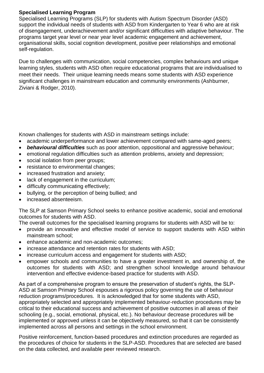### **Specialised Learning Program**

Specialised Learning Programs (SLP) for students with Autism Spectrum Disorder (ASD) support the individual needs of students with ASD from Kindergarten to Year 6 who are at risk of disengagement, underachievement and/or significant difficulties with adaptive behaviour. The programs target year level or near year level academic engagement and achievement, organisational skills, social cognition development, positive peer relationships and emotional self-regulation.

Due to challenges with communication, social competencies, complex behaviours and unique learning styles, students with ASD often require educational programs that are individualised to meet their needs. Their unique learning needs means some students with ASD experience significant challenges in mainstream education and community environments (Ashburner, Ziviani & Rodger, 2010).

Known challenges for students with ASD in mainstream settings include:

- academic underperformance and lower achievement compared with same-aged peers;
- *behavioural difficulties* such as poor attention, oppositional and aggressive behaviour;
- emotional regulation difficulties such as attention problems, anxiety and depression;
- social isolation from peer groups;
- resistance to environmental changes;
- increased frustration and anxiety;
- lack of engagement in the curriculum;
- difficulty communicating effectively;
- bullying, or the perception of being bullied; and
- increased absenteeism.

The SLP at Samson Primary School seeks to enhance positive academic, social and emotional outcomes for students with ASD.

The overall outcomes for the specialised learning programs for students with ASD will be to:

- provide an innovative and effective model of service to support students with ASD within mainstream school;
- enhance academic and non-academic outcomes;
- increase attendance and retention rates for students with ASD;
- increase curriculum access and engagement for students with ASD;
- empower schools and communities to have a greater investment in, and ownership of, the outcomes for students with ASD; and strengthen school knowledge around behaviour intervention and effective evidence-based practice for students with ASD.

As part of a comprehensive program to ensure the preservation of student's rights, the SLP-ASD at Samson Primary School espouses a rigorous policy governing the use of behaviour reduction programs/procedures. It is acknowledged that for some students with ASD, appropriately selected and appropriately implemented behaviour-reduction procedures may be critical to their educational success and achievement of positive outcomes in all areas of their schooling (e.g., social, emotional, physical, etc.). No behaviour decrease procedures will be implemented or approved unless it can be objectively measured, so that it can be consistently implemented across all persons and settings in the school environment.

Positive reinforcement, function-based procedures and extinction procedures are regarded as the procedures of choice for students in the SLP-ASD. Procedures that are selected are based on the data collected, and available peer reviewed research.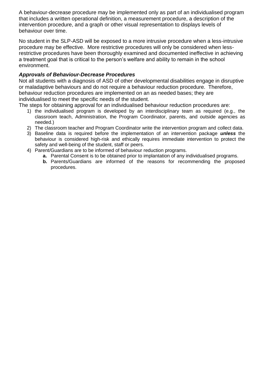A behaviour-decrease procedure may be implemented only as part of an individualised program that includes a written operational definition, a measurement procedure, a description of the intervention procedure, and a graph or other visual representation to displays levels of behaviour over time.

No student in the SLP-ASD will be exposed to a more intrusive procedure when a less-intrusive procedure may be effective. More restrictive procedures will only be considered when lessrestrictive procedures have been thoroughly examined and documented ineffective in achieving a treatment goal that is critical to the person's welfare and ability to remain in the school environment.

#### *Approvals of Behaviour-Decrease Procedures*

Not all students with a diagnosis of ASD of other developmental disabilities engage in disruptive or maladaptive behaviours and do not require a behaviour reduction procedure. Therefore, behaviour reduction procedures are implemented on an as needed bases; they are individualised to meet the specific needs of the student.

The steps for obtaining approval for an individualised behaviour reduction procedures are:

- 1) the individualised program is developed by an interdisciplinary team as required (e.g., the classroom teach, Administration, the Program Coordinator, parents, and outside agencies as needed.)
- 2) The classroom teacher and Program Coordinator write the intervention program and collect data.
- 3) Baseline data is required before the implementation of an intervention package *unless* the behaviour is considered high-risk and ethically requires immediate intervention to protect the safety and well-being of the student, staff or peers.
- 4) Parent/Guardians are to be informed of behaviour reduction programs.
	- **a.** Parental Consent is to be obtained prior to implantation of any individualised programs.
	- **b.** Parents/Guardians are informed of the reasons for recommending the proposed procedures.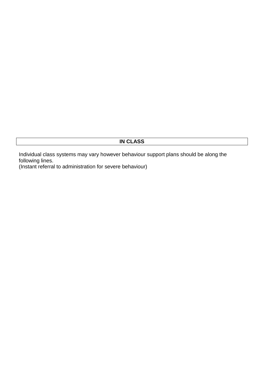# **IN CLASS**

Individual class systems may vary however behaviour support plans should be along the following lines.

(Instant referral to administration for severe behaviour)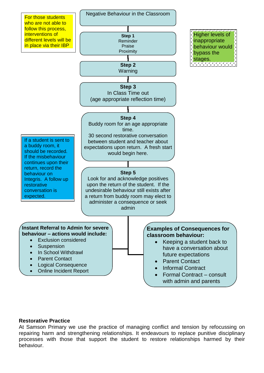

#### **Restorative Practice**

At Samson Primary we use the practice of managing conflict and tension by refocussing on repairing harm and strengthening relationships. It endeavours to replace punitive disciplinary processes with those that support the student to restore relationships harmed by their behaviour.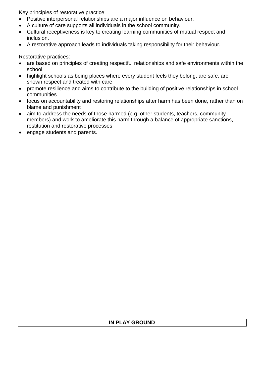Key principles of restorative practice:

- Positive interpersonal relationships are a major influence on behaviour.
- A culture of care supports all individuals in the school community.
- Cultural receptiveness is key to creating learning communities of mutual respect and inclusion.
- A restorative approach leads to individuals taking responsibility for their behaviour.

Restorative practices:

- are based on principles of creating respectful relationships and safe environments within the school
- highlight schools as being places where every student feels they belong, are safe, are shown respect and treated with care
- promote resilience and aims to contribute to the building of positive relationships in school communities
- focus on accountability and restoring relationships after harm has been done, rather than on blame and punishment
- aim to address the needs of those harmed (e.g. other students, teachers, community members) and work to ameliorate this harm through a balance of appropriate sanctions, restitution and restorative processes
- engage students and parents.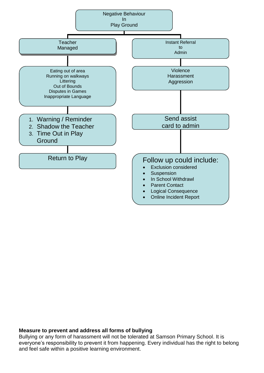

#### **Measure to prevent and address all forms of bullying**

Bullying or any form of harassment will not be tolerated at Samson Primary School. It is everyone's responsibility to prevent it from happening. Every individual has the right to belong and feel safe within a positive learning environment.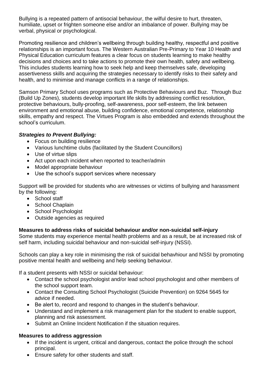Bullying is a repeated pattern of antisocial behaviour, the wilful desire to hurt, threaten, humiliate, upset or frighten someone else and/or an imbalance of power. Bullying may be verbal, physical or psychological.

Promoting resilience and children's wellbeing through building healthy, respectful and positive relationships is an important focus. The Western Australian Pre-Primary to Year 10 Health and Physical Education curriculum features a clear focus on students learning to make healthy decisions and choices and to take actions to promote their own health, safety and wellbeing. This includes students learning how to seek help and keep themselves safe, developing assertiveness skills and acquiring the strategies necessary to identify risks to their safety and health, and to minimise and manage conflicts in a range of relationships.

Samson Primary School uses programs such as Protective Behaviours and Buz. Through Buz (Build Up Zones), students develop important life skills by addressing conflict resolution, protective behaviours, bully-proofing, self-awareness, poor self-esteem, the link between environment and emotional abuse, building confidence, emotional competence, relationship skills, empathy and respect. The Virtues Program is also embedded and extends throughout the school's curriculum.

## *Strategies to Prevent Bullying:*

- Focus on building resilience
- Various lunchtime clubs (facilitated by the Student Councillors)
- Use of virtue slips
- Act upon each incident when reported to teacher/admin
- Model appropriate behaviour
- Use the school's support services where necessary

Support will be provided for students who are witnesses or victims of bullying and harassment by the following:

- School staff
- School Chaplain
- School Psychologist
- Outside agencies as required

## **Measures to address risks of suicidal behaviour and/or non-suicidal self-injury**

Some students may experience mental health problems and as a result, be at increased risk of self harm, including suicidal behaviour and non-suicidal self-injury (NSSI).

Schools can play a key role in minimising the risk of suicidal behavhiour and NSSI by promoting positive mental health and wellbeing and help seeking behaviour.

If a student presents with NSSI or suicidal behaviour:

- Contact the school psychologist and/or lead school psychologist and other members of the school support team.
- Contact the Consulting School Psychologist (Suicide Prevention) on 9264 5645 for advice if needed.
- Be alert to, record and respond to changes in the student's behaviour.
- Understand and implement a risk management plan for the student to enable support, planning and risk assessment.
- Submit an Online Incident Notification if the situation requires.

#### **Measures to address aggression**

- If the incident is urgent, critical and dangerous, contact the police through the school principal.
- Ensure safety for other students and staff.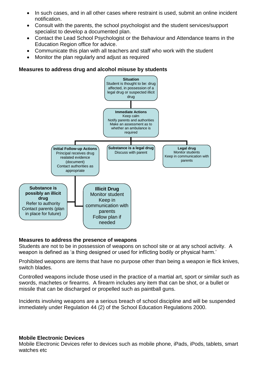- In such cases, and in all other cases where restraint is used, submit an online incident notification.
- Consult with the parents, the school psychologist and the student services/support specialist to develop a documented plan.
- Contact the Lead School Psychologist or the Behaviour and Attendance teams in the Education Region office for advice.
- Communicate this plan with all teachers and staff who work with the student
- Monitor the plan regularly and adjust as required

#### **Measures to address drug and alcohol misuse by students**



## **Measures to address the presence of weapons**

Students are not to be in possession of weapons on school site or at any school activity. A weapon is defined as 'a thing designed or used for inflicting bodily or physical harm.'

Prohibited weapons are items that have no purpose other than being a weapon ie flick knives, switch blades.

Controlled weapons include those used in the practice of a martial art, sport or similar such as swords, machetes or firearms. A firearm includes any item that can be shot, or a bullet or missile that can be discharged or propelled such as paintball guns.

Incidents involving weapons are a serious breach of school discipline and will be suspended immediately under Regulation 44 (2) of the School Education Regulations 2000.

#### **Mobile Electronic Devices**

Mobile Electronic Devices refer to devices such as mobile phone, iPads, iPods, tablets, smart watches etc